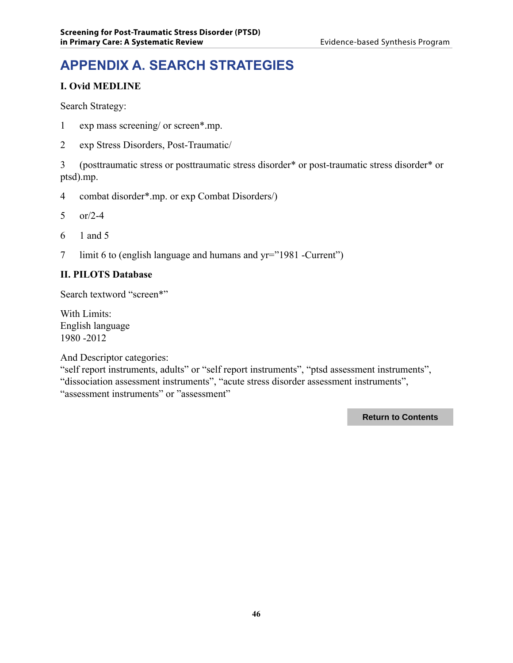# **APPENDIX A. SEARCH STRATEGIES**

#### **I. Ovid MEDLINE**

Search Strategy:

- 1 exp mass screening/ or screen\*.mp.
- 2 exp Stress Disorders, Post-Traumatic/

3 (posttraumatic stress or posttraumatic stress disorder\* or post-traumatic stress disorder\* or ptsd).mp.

- 4 combat disorder\*.mp. or exp Combat Disorders/)
- 5 or/2-4
- 6 1 and 5
- 7 limit 6 to (english language and humans and yr="1981 -Current")

#### **II. PILOTS Database**

Search textword "screen\*"

With Limits: English language 1980 -2012

And Descriptor categories:

"self report instruments, adults" or "self report instruments", "ptsd assessment instruments", "dissociation assessment instruments", "acute stress disorder assessment instruments", "assessment instruments" or "assessment"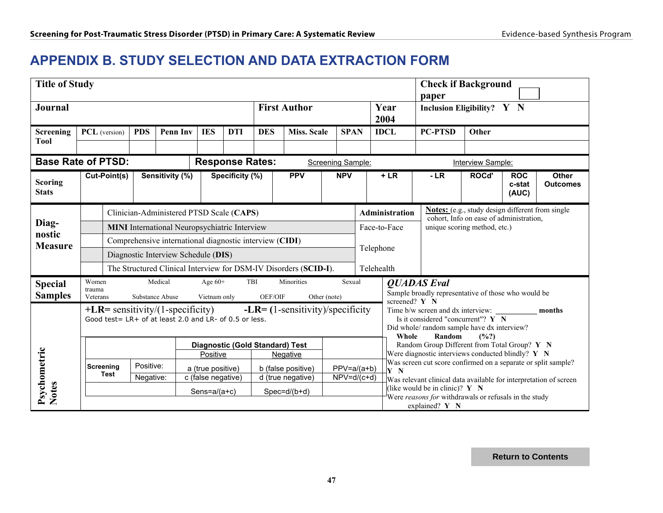### **APPENDIX B. STUDY SELECTION AND DATA EXTRACTION FORM**

|                                                | <b>Title of Study</b>                                            |                                                                                                                                    |                 |                 |                                         |                                                         |            | <b>Check if Background</b>                                              |                                     |                                                                                                                                                   |                                                                                                    |                                                                                                       |                               |                                 |  |
|------------------------------------------------|------------------------------------------------------------------|------------------------------------------------------------------------------------------------------------------------------------|-----------------|-----------------|-----------------------------------------|---------------------------------------------------------|------------|-------------------------------------------------------------------------|-------------------------------------|---------------------------------------------------------------------------------------------------------------------------------------------------|----------------------------------------------------------------------------------------------------|-------------------------------------------------------------------------------------------------------|-------------------------------|---------------------------------|--|
| <b>First Author</b><br><b>Journal</b>          |                                                                  |                                                                                                                                    |                 |                 |                                         |                                                         |            | Year<br>2004                                                            | paper<br>Inclusion Eligibility? Y N |                                                                                                                                                   |                                                                                                    |                                                                                                       |                               |                                 |  |
| Screening<br><b>Tool</b>                       | PCL (version)                                                    |                                                                                                                                    | <b>PDS</b>      | <b>Penn Inv</b> | <b>IES</b>                              | <b>DTI</b>                                              | <b>DES</b> | <b>Miss. Scale</b>                                                      | <b>SPAN</b>                         |                                                                                                                                                   | <b>IDCL</b>                                                                                        | <b>PC-PTSD</b>                                                                                        | Other                         |                                 |  |
|                                                |                                                                  |                                                                                                                                    |                 |                 |                                         |                                                         |            |                                                                         |                                     |                                                                                                                                                   |                                                                                                    |                                                                                                       |                               |                                 |  |
| <b>Base Rate of PTSD:</b>                      |                                                                  |                                                                                                                                    |                 |                 |                                         | <b>Response Rates:</b>                                  |            |                                                                         | Screening Sample:                   |                                                                                                                                                   |                                                                                                    |                                                                                                       | Interview Sample:             |                                 |  |
| Cut-Point(s)<br><b>Scoring</b><br><b>Stats</b> |                                                                  |                                                                                                                                    | Sensitivity (%) | Specificity (%) |                                         |                                                         | <b>PPV</b> | <b>NPV</b>                                                              |                                     | $+LR$                                                                                                                                             | $-LR$                                                                                              | ROCd'                                                                                                 | <b>ROC</b><br>c-stat<br>(AUC) | <b>Other</b><br><b>Outcomes</b> |  |
|                                                |                                                                  | Clinician-Administered PTSD Scale (CAPS)                                                                                           |                 |                 |                                         |                                                         |            |                                                                         |                                     | <b>Administration</b>                                                                                                                             | <b>Notes:</b> (e.g., study design different from single<br>cohort, Info on ease of administration, |                                                                                                       |                               |                                 |  |
| Diag-<br>nostic                                | <b>MINI</b> International Neuropsychiatric Interview             |                                                                                                                                    |                 |                 |                                         |                                                         |            |                                                                         |                                     | Face-to-Face                                                                                                                                      | unique scoring method, etc.)                                                                       |                                                                                                       |                               |                                 |  |
| <b>Measure</b>                                 |                                                                  |                                                                                                                                    |                 |                 |                                         | Comprehensive international diagnostic interview (CIDI) |            |                                                                         | Telephone                           |                                                                                                                                                   |                                                                                                    |                                                                                                       |                               |                                 |  |
|                                                | Diagnostic Interview Schedule (DIS)                              |                                                                                                                                    |                 |                 |                                         |                                                         |            |                                                                         |                                     |                                                                                                                                                   |                                                                                                    |                                                                                                       |                               |                                 |  |
|                                                | The Structured Clinical Interview for DSM-IV Disorders (SCID-I). |                                                                                                                                    |                 |                 |                                         | Telehealth                                              |            |                                                                         |                                     |                                                                                                                                                   |                                                                                                    |                                                                                                       |                               |                                 |  |
| <b>Special</b>                                 | Women<br>trauma                                                  |                                                                                                                                    |                 | Medical         | Age $60+$                               |                                                         | TBI        | Minorities                                                              | Sexual                              |                                                                                                                                                   |                                                                                                    | <b>OUADAS</b> Eval                                                                                    |                               |                                 |  |
| <b>Samples</b>                                 | Veterans                                                         |                                                                                                                                    | Substance Abuse |                 | Vietnam only                            |                                                         | OEF/OIF    |                                                                         | Other (note)                        |                                                                                                                                                   |                                                                                                    | Sample broadly representative of those who would be<br>screened? Y N                                  |                               |                                 |  |
|                                                |                                                                  | $+LR$ = sensitivity/(1-specificity) $-LR$ = (1-sensitivity)/specificity<br>Good test = LR+ of at least 2.0 and LR- of 0.5 or less. |                 |                 |                                         |                                                         | Whole      |                                                                         |                                     | Time b/w screen and dx interview:<br>months<br>Is it considered "concurrent"? Y N<br>Did whole/random sample have dx interview?<br>Random<br>(%?) |                                                                                                    |                                                                                                       |                               |                                 |  |
|                                                |                                                                  |                                                                                                                                    |                 |                 |                                         |                                                         |            | <b>Diagnostic (Gold Standard) Test</b>                                  |                                     |                                                                                                                                                   |                                                                                                    | Random Group Different from Total Group? Y N<br>Were diagnostic interviews conducted blindly? $Y \ N$ |                               |                                 |  |
|                                                |                                                                  | Screening                                                                                                                          | Positive:       |                 | Positive                                |                                                         |            | Negative                                                                |                                     |                                                                                                                                                   |                                                                                                    | Was screen cut score confirmed on a separate or split sample?                                         |                               |                                 |  |
|                                                |                                                                  | Test                                                                                                                               | Negative:       |                 | a (true positive)<br>c (false negative) |                                                         |            | b (false positive)<br>d (true negative)                                 | $PPV=a/(a+b)$<br>$NPV=d/(c+d)$      |                                                                                                                                                   | $\mathbf{Y}$ N                                                                                     | Was relevant clinical data available for interpretation of screen                                     |                               |                                 |  |
| Psychometric<br>Notes                          |                                                                  |                                                                                                                                    |                 |                 | Sens= $a/(a+c)$                         |                                                         |            | $Spec=d/(b+d)$                                                          |                                     |                                                                                                                                                   |                                                                                                    | (like would be in clinic)? $Y \ N$                                                                    |                               |                                 |  |
|                                                |                                                                  |                                                                                                                                    |                 |                 |                                         |                                                         |            | Were reasons for withdrawals or refusals in the study<br>explained? Y N |                                     |                                                                                                                                                   |                                                                                                    |                                                                                                       |                               |                                 |  |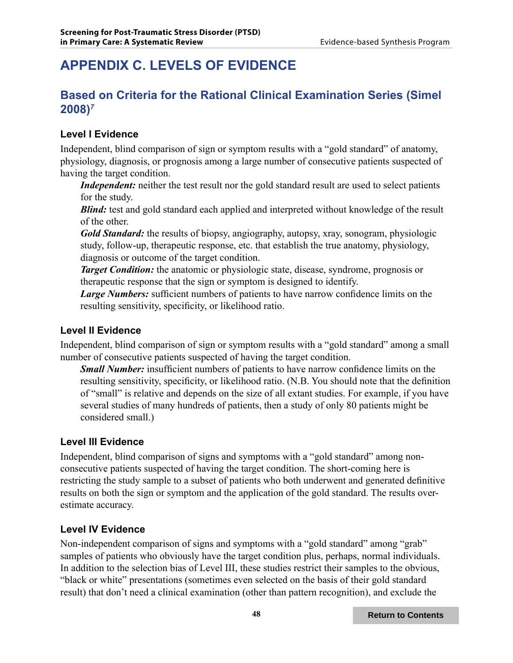## **APPENDIX C. LEVELS OF EVIDENCE**

### **Based on Criteria for the Rational Clinical Examination Series (Simel 2008)***<sup>7</sup>*

#### **Level I Evidence**

Independent, blind comparison of sign or symptom results with a "gold standard" of anatomy, physiology, diagnosis, or prognosis among a large number of consecutive patients suspected of having the target condition.

*Independent:* neither the test result nor the gold standard result are used to select patients for the study.

*Blind:* test and gold standard each applied and interpreted without knowledge of the result of the other.

*Gold Standard:* the results of biopsy, angiography, autopsy, xray, sonogram, physiologic study, follow-up, therapeutic response, etc. that establish the true anatomy, physiology, diagnosis or outcome of the target condition.

*Target Condition:* the anatomic or physiologic state, disease, syndrome, prognosis or therapeutic response that the sign or symptom is designed to identify.

*Large Numbers:* sufficient numbers of patients to have narrow confidence limits on the resulting sensitivity, specificity, or likelihood ratio.

#### **Level II Evidence**

Independent, blind comparison of sign or symptom results with a "gold standard" among a small number of consecutive patients suspected of having the target condition.

*Small Number:* insufficient numbers of patients to have narrow confidence limits on the resulting sensitivity, specificity, or likelihood ratio. (N.B. You should note that the definition of "small" is relative and depends on the size of all extant studies. For example, if you have several studies of many hundreds of patients, then a study of only 80 patients might be considered small.)

#### **Level III Evidence**

Independent, blind comparison of signs and symptoms with a "gold standard" among nonconsecutive patients suspected of having the target condition. The short-coming here is restricting the study sample to a subset of patients who both underwent and generated definitive results on both the sign or symptom and the application of the gold standard. The results overestimate accuracy.

#### **Level IV Evidence**

Non-independent comparison of signs and symptoms with a "gold standard" among "grab" samples of patients who obviously have the target condition plus, perhaps, normal individuals. In addition to the selection bias of Level III, these studies restrict their samples to the obvious, "black or white" presentations (sometimes even selected on the basis of their gold standard result) that don't need a clinical examination (other than pattern recognition), and exclude the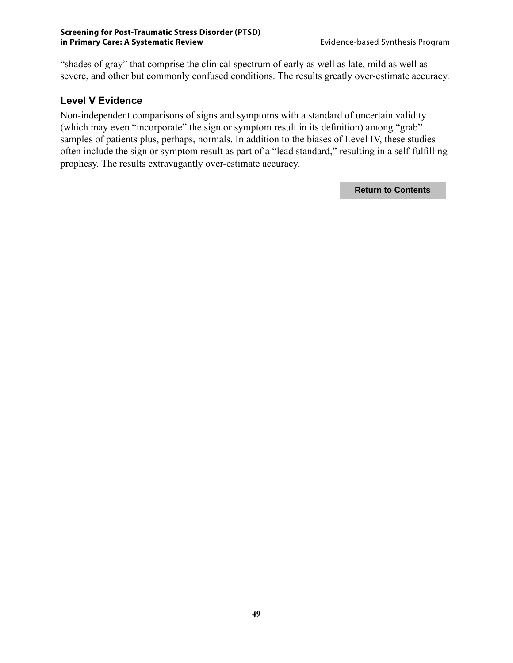"shades of gray" that comprise the clinical spectrum of early as well as late, mild as well as severe, and other but commonly confused conditions. The results greatly over-estimate accuracy.

#### **Level V Evidence**

Non-independent comparisons of signs and symptoms with a standard of uncertain validity (which may even "incorporate" the sign or symptom result in its definition) among "grab" samples of patients plus, perhaps, normals. In addition to the biases of Level IV, these studies often include the sign or symptom result as part of a "lead standard," resulting in a self-fulfilling prophesy. The results extravagantly over-estimate accuracy.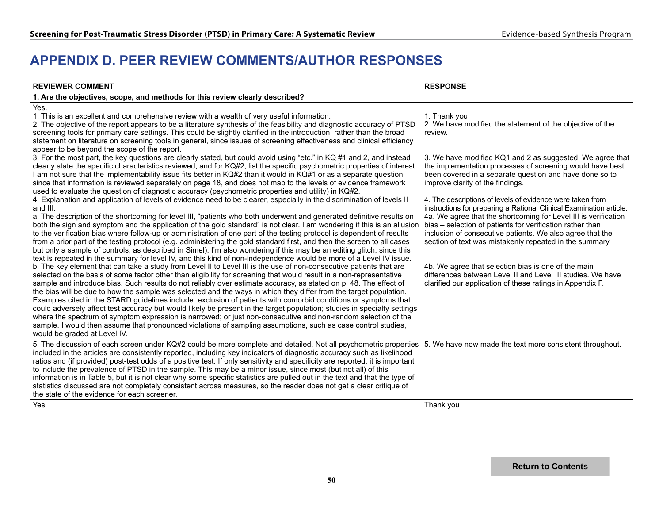### **APPENDIX D. PEER REVIEW COMMENTS/AUTHOR RESPONSES**

| <b>REVIEWER COMMENT</b>                                                                                                                                                                                                                                                                                                                                                                                                                                                                                                                                                                                                                                                                                                                                                                                                                                                                                                                                                                                                                                                                                                                                                                                                                                                                                                                                                                                                                                                                                                                                                                                                                                                                                                                                                                                                                                                                                                                                                                                                                                                                                                                                                                                                                                                                                                                                                                                                                                                                                                                                                                                                                                                                                                                                                                                                                                                                                                                                                                                                                      | <b>RESPONSE</b>                                                                                                                                                                                                                                                                                                                                                                                                                                                                                                                                                                                                                                                                                                                                                                                                                                                                             |
|----------------------------------------------------------------------------------------------------------------------------------------------------------------------------------------------------------------------------------------------------------------------------------------------------------------------------------------------------------------------------------------------------------------------------------------------------------------------------------------------------------------------------------------------------------------------------------------------------------------------------------------------------------------------------------------------------------------------------------------------------------------------------------------------------------------------------------------------------------------------------------------------------------------------------------------------------------------------------------------------------------------------------------------------------------------------------------------------------------------------------------------------------------------------------------------------------------------------------------------------------------------------------------------------------------------------------------------------------------------------------------------------------------------------------------------------------------------------------------------------------------------------------------------------------------------------------------------------------------------------------------------------------------------------------------------------------------------------------------------------------------------------------------------------------------------------------------------------------------------------------------------------------------------------------------------------------------------------------------------------------------------------------------------------------------------------------------------------------------------------------------------------------------------------------------------------------------------------------------------------------------------------------------------------------------------------------------------------------------------------------------------------------------------------------------------------------------------------------------------------------------------------------------------------------------------------------------------------------------------------------------------------------------------------------------------------------------------------------------------------------------------------------------------------------------------------------------------------------------------------------------------------------------------------------------------------------------------------------------------------------------------------------------------------|---------------------------------------------------------------------------------------------------------------------------------------------------------------------------------------------------------------------------------------------------------------------------------------------------------------------------------------------------------------------------------------------------------------------------------------------------------------------------------------------------------------------------------------------------------------------------------------------------------------------------------------------------------------------------------------------------------------------------------------------------------------------------------------------------------------------------------------------------------------------------------------------|
| 1. Are the objectives, scope, and methods for this review clearly described?                                                                                                                                                                                                                                                                                                                                                                                                                                                                                                                                                                                                                                                                                                                                                                                                                                                                                                                                                                                                                                                                                                                                                                                                                                                                                                                                                                                                                                                                                                                                                                                                                                                                                                                                                                                                                                                                                                                                                                                                                                                                                                                                                                                                                                                                                                                                                                                                                                                                                                                                                                                                                                                                                                                                                                                                                                                                                                                                                                 |                                                                                                                                                                                                                                                                                                                                                                                                                                                                                                                                                                                                                                                                                                                                                                                                                                                                                             |
| Yes.<br>1. This is an excellent and comprehensive review with a wealth of very useful information.<br>2. The objective of the report appears to be a literature synthesis of the feasibility and diagnostic accuracy of PTSD<br>screening tools for primary care settings. This could be slightly clarified in the introduction, rather than the broad<br>statement on literature on screening tools in general, since issues of screening effectiveness and clinical efficiency<br>appear to be beyond the scope of the report.<br>3. For the most part, the key questions are clearly stated, but could avoid using "etc." in KQ #1 and 2, and instead<br>clearly state the specific characteristics reviewed, and for KQ#2, list the specific psychometric properties of interest.<br>I am not sure that the implementability issue fits better in KQ#2 than it would in KQ#1 or as a separate question,<br>since that information is reviewed separately on page 18, and does not map to the levels of evidence framework<br>used to evaluate the question of diagnostic accuracy (psychometric properties and utility) in KQ#2.<br>4. Explanation and application of levels of evidence need to be clearer, especially in the discrimination of levels II<br>and III:<br>a. The description of the shortcoming for level III, "patients who both underwent and generated definitive results on<br>both the sign and symptom and the application of the gold standard" is not clear. I am wondering if this is an allusion<br>to the verification bias where follow-up or administration of one part of the testing protocol is dependent of results<br>from a prior part of the testing protocol (e.g. administering the gold standard first, and then the screen to all cases<br>but only a sample of controls, as described in Simel). I'm also wondering if this may be an editing glitch, since this<br>text is repeated in the summary for level IV, and this kind of non-independence would be more of a Level IV issue.<br>b. The key element that can take a study from Level II to Level III is the use of non-consecutive patients that are<br>selected on the basis of some factor other than eligibility for screening that would result in a non-representative<br>sample and introduce bias. Such results do not reliably over estimate accuracy, as stated on p. 48. The effect of<br>the bias will be due to how the sample was selected and the ways in which they differ from the target population.<br>Examples cited in the STARD guidelines include: exclusion of patients with comorbid conditions or symptoms that<br>could adversely affect test accuracy but would likely be present in the target population; studies in specialty settings<br>where the spectrum of symptom expression is narrowed; or just non-consecutive and non-random selection of the<br>sample. I would then assume that pronounced violations of sampling assumptions, such as case control studies,<br>would be graded at Level IV. | 1. Thank you<br>2. We have modified the statement of the objective of the<br>review.<br>3. We have modified KQ1 and 2 as suggested. We agree that<br>the implementation processes of screening would have best<br>been covered in a separate question and have done so to<br>improve clarity of the findings.<br>4. The descriptions of levels of evidence were taken from<br>instructions for preparing a Rational Clinical Examination article.<br>4a. We agree that the shortcoming for Level III is verification<br>bias - selection of patients for verification rather than<br>inclusion of consecutive patients. We also agree that the<br>section of text was mistakenly repeated in the summary<br>4b. We agree that selection bias is one of the main<br>differences between Level II and Level III studies. We have<br>clarified our application of these ratings in Appendix F. |
| 5. The discussion of each screen under KQ#2 could be more complete and detailed. Not all psychometric properties<br>included in the articles are consistently reported, including key indicators of diagnostic accuracy such as likelihood<br>ratios and (if provided) post-test odds of a positive test. If only sensitivity and specificity are reported, it is important<br>to include the prevalence of PTSD in the sample. This may be a minor issue, since most (but not all) of this<br>information is in Table 5, but it is not clear why some specific statistics are pulled out in the text and that the type of<br>statistics discussed are not completely consistent across measures, so the reader does not get a clear critique of<br>the state of the evidence for each screener.                                                                                                                                                                                                                                                                                                                                                                                                                                                                                                                                                                                                                                                                                                                                                                                                                                                                                                                                                                                                                                                                                                                                                                                                                                                                                                                                                                                                                                                                                                                                                                                                                                                                                                                                                                                                                                                                                                                                                                                                                                                                                                                                                                                                                                             | 5. We have now made the text more consistent throughout.                                                                                                                                                                                                                                                                                                                                                                                                                                                                                                                                                                                                                                                                                                                                                                                                                                    |
| Yes                                                                                                                                                                                                                                                                                                                                                                                                                                                                                                                                                                                                                                                                                                                                                                                                                                                                                                                                                                                                                                                                                                                                                                                                                                                                                                                                                                                                                                                                                                                                                                                                                                                                                                                                                                                                                                                                                                                                                                                                                                                                                                                                                                                                                                                                                                                                                                                                                                                                                                                                                                                                                                                                                                                                                                                                                                                                                                                                                                                                                                          | Thank you                                                                                                                                                                                                                                                                                                                                                                                                                                                                                                                                                                                                                                                                                                                                                                                                                                                                                   |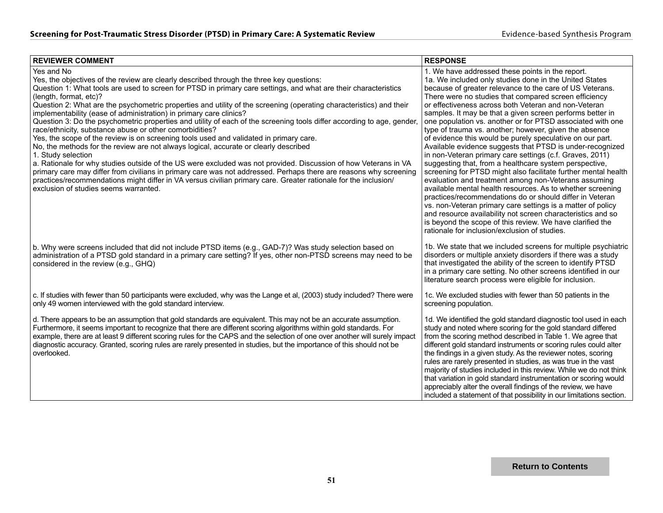| <b>REVIEWER COMMENT</b>                                                                                                                                                                                                                                                                                                                                                                                                                                                                                                                                                                                                                                                                                                                                                                                                                                                                                                                                                                   | <b>RESPONSE</b>                                                                                                                                                                                                                                                                                                                                                                                                                                                                                                                                                                                                                                                                                                                                                                                                                                                                                                                                                                           |
|-------------------------------------------------------------------------------------------------------------------------------------------------------------------------------------------------------------------------------------------------------------------------------------------------------------------------------------------------------------------------------------------------------------------------------------------------------------------------------------------------------------------------------------------------------------------------------------------------------------------------------------------------------------------------------------------------------------------------------------------------------------------------------------------------------------------------------------------------------------------------------------------------------------------------------------------------------------------------------------------|-------------------------------------------------------------------------------------------------------------------------------------------------------------------------------------------------------------------------------------------------------------------------------------------------------------------------------------------------------------------------------------------------------------------------------------------------------------------------------------------------------------------------------------------------------------------------------------------------------------------------------------------------------------------------------------------------------------------------------------------------------------------------------------------------------------------------------------------------------------------------------------------------------------------------------------------------------------------------------------------|
| Yes and No<br>Yes, the objectives of the review are clearly described through the three key questions:<br>Question 1: What tools are used to screen for PTSD in primary care settings, and what are their characteristics<br>(length, format, etc)?                                                                                                                                                                                                                                                                                                                                                                                                                                                                                                                                                                                                                                                                                                                                       | 1. We have addressed these points in the report.<br>1a. We included only studies done in the United States<br>because of greater relevance to the care of US Veterans.<br>There were no studies that compared screen efficiency                                                                                                                                                                                                                                                                                                                                                                                                                                                                                                                                                                                                                                                                                                                                                           |
| Question 2: What are the psychometric properties and utility of the screening (operating characteristics) and their<br>implementability (ease of administration) in primary care clinics?<br>Question 3: Do the psychometric properties and utility of each of the screening tools differ according to age, gender<br>race/ethnicity, substance abuse or other comorbidities?<br>Yes, the scope of the review is on screening tools used and validated in primary care.<br>No, the methods for the review are not always logical, accurate or clearly described<br>1. Study selection<br>a. Rationale for why studies outside of the US were excluded was not provided. Discussion of how Veterans in VA<br>primary care may differ from civilians in primary care was not addressed. Perhaps there are reasons why screening<br>practices/recommendations might differ in VA versus civilian primary care. Greater rationale for the inclusion/<br>exclusion of studies seems warranted. | or effectiveness across both Veteran and non-Veteran<br>samples. It may be that a given screen performs better in<br>one population vs. another or for PTSD associated with one<br>type of trauma vs. another; however, given the absence<br>of evidence this would be purely speculative on our part.<br>Available evidence suggests that PTSD is under-recognized<br>in non-Veteran primary care settings (c.f. Graves, 2011)<br>suggesting that, from a healthcare system perspective,<br>screening for PTSD might also facilitate further mental health<br>evaluation and treatment among non-Veterans assuming<br>available mental health resources. As to whether screening<br>practices/recommendations do or should differ in Veteran<br>vs. non-Veteran primary care settings is a matter of policy<br>and resource availability not screen characteristics and so<br>is beyond the scope of this review. We have clarified the<br>rationale for inclusion/exclusion of studies. |
| b. Why were screens included that did not include PTSD items (e.g., GAD-7)? Was study selection based on<br>administration of a PTSD gold standard in a primary care setting? If yes, other non-PTSD screens may need to be<br>considered in the review (e.g., GHQ)                                                                                                                                                                                                                                                                                                                                                                                                                                                                                                                                                                                                                                                                                                                       | 1b. We state that we included screens for multiple psychiatric<br>disorders or multiple anxiety disorders if there was a study<br>that investigated the ability of the screen to identify PTSD<br>in a primary care setting. No other screens identified in our<br>literature search process were eligible for inclusion.                                                                                                                                                                                                                                                                                                                                                                                                                                                                                                                                                                                                                                                                 |
| c. If studies with fewer than 50 participants were excluded, why was the Lange et al, (2003) study included? There were<br>only 49 women interviewed with the gold standard interview.                                                                                                                                                                                                                                                                                                                                                                                                                                                                                                                                                                                                                                                                                                                                                                                                    | 1c. We excluded studies with fewer than 50 patients in the<br>screening population.                                                                                                                                                                                                                                                                                                                                                                                                                                                                                                                                                                                                                                                                                                                                                                                                                                                                                                       |
| d. There appears to be an assumption that gold standards are equivalent. This may not be an accurate assumption.<br>Furthermore, it seems important to recognize that there are different scoring algorithms within gold standards. For<br>example, there are at least 9 different scoring rules for the CAPS and the selection of one over another will surely impact<br>diagnostic accuracy. Granted, scoring rules are rarely presented in studies, but the importance of this should not be<br>overlooked.                                                                                                                                                                                                                                                                                                                                                                                                                                                                            | 1d. We identified the gold standard diagnostic tool used in each<br>study and noted where scoring for the gold standard differed<br>from the scoring method described in Table 1. We agree that<br>different gold standard instruments or scoring rules could alter<br>the findings in a given study. As the reviewer notes, scoring<br>rules are rarely presented in studies, as was true in the vast<br>majority of studies included in this review. While we do not think<br>that variation in gold standard instrumentation or scoring would<br>appreciably alter the overall findings of the review, we have<br>included a statement of that possibility in our limitations section.                                                                                                                                                                                                                                                                                                 |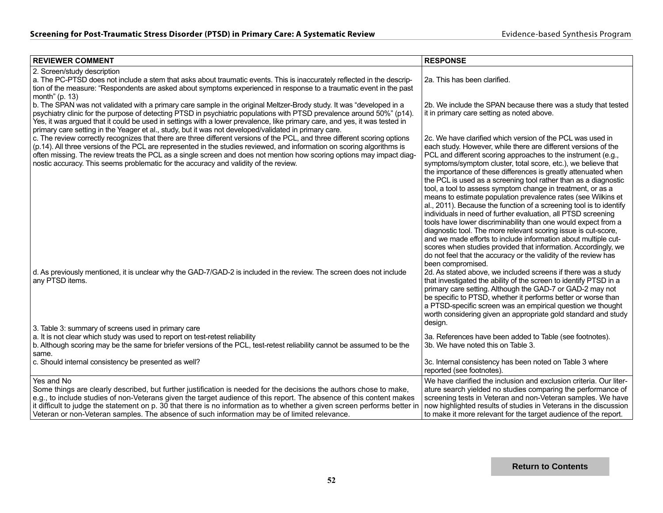| <b>REVIEWER COMMENT</b>                                                                                                                                                                                                                                                                                                                                                                                                                                                                | <b>RESPONSE</b>                                                                                                                                                                                                                                                                                                                                                                                                                                                                                                                                                                                                                                                                                                                                                                                                                                                                                                                                                                                                                             |
|----------------------------------------------------------------------------------------------------------------------------------------------------------------------------------------------------------------------------------------------------------------------------------------------------------------------------------------------------------------------------------------------------------------------------------------------------------------------------------------|---------------------------------------------------------------------------------------------------------------------------------------------------------------------------------------------------------------------------------------------------------------------------------------------------------------------------------------------------------------------------------------------------------------------------------------------------------------------------------------------------------------------------------------------------------------------------------------------------------------------------------------------------------------------------------------------------------------------------------------------------------------------------------------------------------------------------------------------------------------------------------------------------------------------------------------------------------------------------------------------------------------------------------------------|
| 2. Screen/study description<br>a. The PC-PTSD does not include a stem that asks about traumatic events. This is inaccurately reflected in the descrip-<br>tion of the measure: "Respondents are asked about symptoms experienced in response to a traumatic event in the past<br>month" $(p. 13)$                                                                                                                                                                                      | 2a. This has been clarified.                                                                                                                                                                                                                                                                                                                                                                                                                                                                                                                                                                                                                                                                                                                                                                                                                                                                                                                                                                                                                |
| b. The SPAN was not validated with a primary care sample in the original Meltzer-Brody study. It was "developed in a<br>psychiatry clinic for the purpose of detecting PTSD in psychiatric populations with PTSD prevalence around 50%" (p14).<br>Yes, it was argued that it could be used in settings with a lower prevalence, like primary care, and yes, it was tested in<br>primary care setting in the Yeager et al., study, but it was not developed/validated in primary care.  | 2b. We include the SPAN because there was a study that tested<br>it in primary care setting as noted above.                                                                                                                                                                                                                                                                                                                                                                                                                                                                                                                                                                                                                                                                                                                                                                                                                                                                                                                                 |
| c. The review correctly recognizes that there are three different versions of the PCL, and three different scoring options<br>(p.14). All three versions of the PCL are represented in the studies reviewed, and information on scoring algorithms is<br>often missing. The review treats the PCL as a single screen and does not mention how scoring options may impact diag-<br>nostic accuracy. This seems problematic for the accuracy and validity of the review.                 | 2c. We have clarified which version of the PCL was used in<br>each study. However, while there are different versions of the<br>PCL and different scoring approaches to the instrument (e.g.,<br>symptoms/symptom cluster, total score, etc.), we believe that<br>the importance of these differences is greatly attenuated when<br>the PCL is used as a screening tool rather than as a diagnostic<br>tool, a tool to assess symptom change in treatment, or as a<br>means to estimate population prevalence rates (see Wilkins et<br>al., 2011). Because the function of a screening tool is to identify<br>individuals in need of further evaluation, all PTSD screening<br>tools have lower discriminability than one would expect from a<br>diagnostic tool. The more relevant scoring issue is cut-score,<br>and we made efforts to include information about multiple cut-<br>scores when studies provided that information. Accordingly, we<br>do not feel that the accuracy or the validity of the review has<br>been compromised. |
| d. As previously mentioned, it is unclear why the GAD-7/GAD-2 is included in the review. The screen does not include<br>any PTSD items.                                                                                                                                                                                                                                                                                                                                                | 2d. As stated above, we included screens if there was a study<br>that investigated the ability of the screen to identify PTSD in a<br>primary care setting. Although the GAD-7 or GAD-2 may not<br>be specific to PTSD, whether it performs better or worse than<br>a PTSD-specific screen was an empirical question we thought<br>worth considering given an appropriate gold standard and study<br>design.                                                                                                                                                                                                                                                                                                                                                                                                                                                                                                                                                                                                                                |
| 3. Table 3: summary of screens used in primary care<br>a. It is not clear which study was used to report on test-retest reliability<br>b. Although scoring may be the same for briefer versions of the PCL, test-retest reliability cannot be assumed to be the<br>same.                                                                                                                                                                                                               | 3a. References have been added to Table (see footnotes).<br>3b. We have noted this on Table 3.                                                                                                                                                                                                                                                                                                                                                                                                                                                                                                                                                                                                                                                                                                                                                                                                                                                                                                                                              |
| c. Should internal consistency be presented as well?                                                                                                                                                                                                                                                                                                                                                                                                                                   | 3c. Internal consistency has been noted on Table 3 where<br>reported (see footnotes).                                                                                                                                                                                                                                                                                                                                                                                                                                                                                                                                                                                                                                                                                                                                                                                                                                                                                                                                                       |
| Yes and No<br>Some things are clearly described, but further justification is needed for the decisions the authors chose to make,<br>e.g., to include studies of non-Veterans given the target audience of this report. The absence of this content makes<br>it difficult to judge the statement on p. 30 that there is no information as to whether a given screen performs better in<br>Veteran or non-Veteran samples. The absence of such information may be of limited relevance. | We have clarified the inclusion and exclusion criteria. Our liter-<br>ature search yielded no studies comparing the performance of<br>screening tests in Veteran and non-Veteran samples. We have<br>now highlighted results of studies in Veterans in the discussion<br>to make it more relevant for the target audience of the report.                                                                                                                                                                                                                                                                                                                                                                                                                                                                                                                                                                                                                                                                                                    |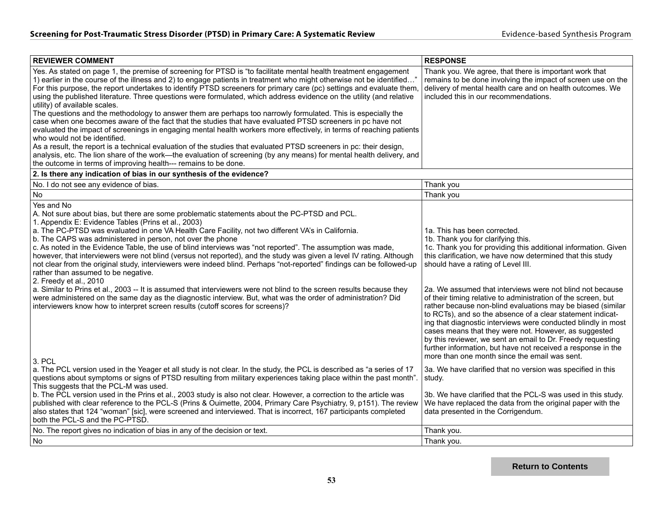| <b>REVIEWER COMMENT</b>                                                                                                                                                                                                                                                                                                                                                                                                                                                                                                                                                                                                                                                                                                                                                                                                                                                                                                                                                                                                                                                                                                                                                                                                            | <b>RESPONSE</b>                                                                                                                                                                                                                                                                                                                                                                                                                                                                                                                                                                                                                                                                                                                                                                                               |
|------------------------------------------------------------------------------------------------------------------------------------------------------------------------------------------------------------------------------------------------------------------------------------------------------------------------------------------------------------------------------------------------------------------------------------------------------------------------------------------------------------------------------------------------------------------------------------------------------------------------------------------------------------------------------------------------------------------------------------------------------------------------------------------------------------------------------------------------------------------------------------------------------------------------------------------------------------------------------------------------------------------------------------------------------------------------------------------------------------------------------------------------------------------------------------------------------------------------------------|---------------------------------------------------------------------------------------------------------------------------------------------------------------------------------------------------------------------------------------------------------------------------------------------------------------------------------------------------------------------------------------------------------------------------------------------------------------------------------------------------------------------------------------------------------------------------------------------------------------------------------------------------------------------------------------------------------------------------------------------------------------------------------------------------------------|
| Yes. As stated on page 1, the premise of screening for PTSD is "to facilitate mental health treatment engagement<br>1) earlier in the course of the illness and 2) to engage patients in treatment who might otherwise not be identified'<br>For this purpose, the report undertakes to identify PTSD screeners for primary care (pc) settings and evaluate them,<br>using the published literature. Three questions were formulated, which address evidence on the utility (and relative<br>utility) of available scales.<br>The questions and the methodology to answer them are perhaps too narrowly formulated. This is especially the<br>case when one becomes aware of the fact that the studies that have evaluated PTSD screeners in pc have not<br>evaluated the impact of screenings in engaging mental health workers more effectively, in terms of reaching patients<br>who would not be identified.<br>As a result, the report is a technical evaluation of the studies that evaluated PTSD screeners in pc: their design,<br>analysis, etc. The lion share of the work—the evaluation of screening (by any means) for mental health delivery, and<br>the outcome in terms of improving health--- remains to be done. | Thank you. We agree, that there is important work that<br>remains to be done involving the impact of screen use on the<br>delivery of mental health care and on health outcomes. We<br>included this in our recommendations.                                                                                                                                                                                                                                                                                                                                                                                                                                                                                                                                                                                  |
| 2. Is there any indication of bias in our synthesis of the evidence?                                                                                                                                                                                                                                                                                                                                                                                                                                                                                                                                                                                                                                                                                                                                                                                                                                                                                                                                                                                                                                                                                                                                                               |                                                                                                                                                                                                                                                                                                                                                                                                                                                                                                                                                                                                                                                                                                                                                                                                               |
| No. I do not see any evidence of bias.                                                                                                                                                                                                                                                                                                                                                                                                                                                                                                                                                                                                                                                                                                                                                                                                                                                                                                                                                                                                                                                                                                                                                                                             | Thank you                                                                                                                                                                                                                                                                                                                                                                                                                                                                                                                                                                                                                                                                                                                                                                                                     |
| <b>No</b>                                                                                                                                                                                                                                                                                                                                                                                                                                                                                                                                                                                                                                                                                                                                                                                                                                                                                                                                                                                                                                                                                                                                                                                                                          | Thank you                                                                                                                                                                                                                                                                                                                                                                                                                                                                                                                                                                                                                                                                                                                                                                                                     |
| Yes and No<br>A. Not sure about bias, but there are some problematic statements about the PC-PTSD and PCL.<br>1. Appendix E: Evidence Tables (Prins et al., 2003)<br>a. The PC-PTSD was evaluated in one VA Health Care Facility, not two different VA's in California.<br>b. The CAPS was administered in person, not over the phone<br>c. As noted in the Evidence Table, the use of blind interviews was "not reported". The assumption was made,<br>however, that interviewers were not blind (versus not reported), and the study was given a level IV rating. Although<br>not clear from the original study, interviewers were indeed blind. Perhaps "not-reported" findings can be followed-up<br>rather than assumed to be negative.<br>2. Freedy et al., 2010<br>a. Similar to Prins et al., 2003 -- It is assumed that interviewers were not blind to the screen results because they<br>were administered on the same day as the diagnostic interview. But, what was the order of administration? Did<br>interviewers know how to interpret screen results (cutoff scores for screens)?                                                                                                                                 | 1a. This has been corrected.<br>1b. Thank you for clarifying this.<br>1c. Thank you for providing this additional information. Given<br>this clarification, we have now determined that this study<br>should have a rating of Level III.<br>2a. We assumed that interviews were not blind not because<br>of their timing relative to administration of the screen, but<br>rather because non-blind evaluations may be biased (similar<br>to RCTs), and so the absence of a clear statement indicat-<br>ing that diagnostic interviews were conducted blindly in most<br>cases means that they were not. However, as suggested<br>by this reviewer, we sent an email to Dr. Freedy requesting<br>further information, but have not received a response in the<br>more than one month since the email was sent. |
| 3. PCL<br>a. The PCL version used in the Yeager et all study is not clear. In the study, the PCL is described as "a series of 17<br>questions about symptoms or signs of PTSD resulting from military experiences taking place within the past month".<br>This suggests that the PCL-M was used.<br>b. The PCL version used in the Prins et al., 2003 study is also not clear. However, a correction to the article was<br>published with clear reference to the PCL-S (Prins & Ouimette, 2004, Primary Care Psychiatry, 9, p151). The review<br>also states that 124 "woman" [sic], were screened and interviewed. That is incorrect, 167 participants completed<br>both the PCL-S and the PC-PTSD.                                                                                                                                                                                                                                                                                                                                                                                                                                                                                                                               | 3a. We have clarified that no version was specified in this<br>study.<br>3b. We have clarified that the PCL-S was used in this study.<br>We have replaced the data from the original paper with the<br>data presented in the Corrigendum.                                                                                                                                                                                                                                                                                                                                                                                                                                                                                                                                                                     |
| No. The report gives no indication of bias in any of the decision or text.                                                                                                                                                                                                                                                                                                                                                                                                                                                                                                                                                                                                                                                                                                                                                                                                                                                                                                                                                                                                                                                                                                                                                         | Thank you.                                                                                                                                                                                                                                                                                                                                                                                                                                                                                                                                                                                                                                                                                                                                                                                                    |
| N <sub>o</sub>                                                                                                                                                                                                                                                                                                                                                                                                                                                                                                                                                                                                                                                                                                                                                                                                                                                                                                                                                                                                                                                                                                                                                                                                                     | Thank you.                                                                                                                                                                                                                                                                                                                                                                                                                                                                                                                                                                                                                                                                                                                                                                                                    |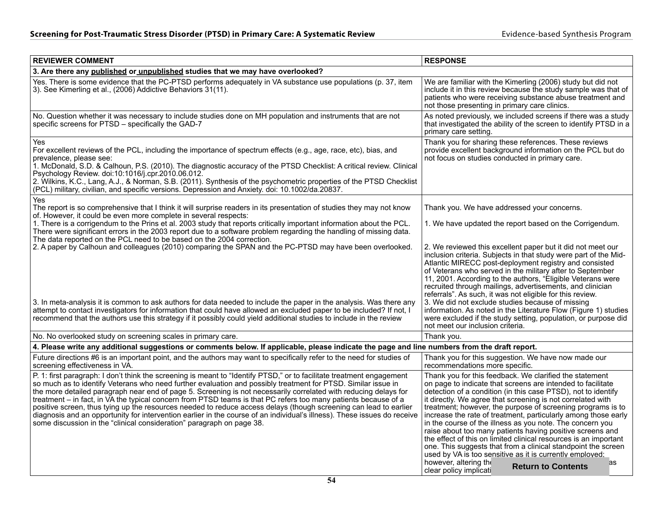| <b>REVIEWER COMMENT</b>                                                                                                                                                                                                                                                                                                                                                                                                                                                                                                                                                                                                                                                                                                                                                                                 | <b>RESPONSE</b>                                                                                                                                                                                                                                                                                                                                                                                                                                                                                                                                                                                                                                                                                                                                                                                          |
|---------------------------------------------------------------------------------------------------------------------------------------------------------------------------------------------------------------------------------------------------------------------------------------------------------------------------------------------------------------------------------------------------------------------------------------------------------------------------------------------------------------------------------------------------------------------------------------------------------------------------------------------------------------------------------------------------------------------------------------------------------------------------------------------------------|----------------------------------------------------------------------------------------------------------------------------------------------------------------------------------------------------------------------------------------------------------------------------------------------------------------------------------------------------------------------------------------------------------------------------------------------------------------------------------------------------------------------------------------------------------------------------------------------------------------------------------------------------------------------------------------------------------------------------------------------------------------------------------------------------------|
| 3. Are there any published or unpublished studies that we may have overlooked?                                                                                                                                                                                                                                                                                                                                                                                                                                                                                                                                                                                                                                                                                                                          |                                                                                                                                                                                                                                                                                                                                                                                                                                                                                                                                                                                                                                                                                                                                                                                                          |
| Yes. There is some evidence that the PC-PTSD performs adequately in VA substance use populations (p. 37, item<br>3). See Kimerling et al., (2006) Addictive Behaviors 31(11).                                                                                                                                                                                                                                                                                                                                                                                                                                                                                                                                                                                                                           | We are familiar with the Kimerling (2006) study but did not<br>include it in this review because the study sample was that of<br>patients who were receiving substance abuse treatment and<br>not those presenting in primary care clinics.                                                                                                                                                                                                                                                                                                                                                                                                                                                                                                                                                              |
| No. Question whether it was necessary to include studies done on MH population and instruments that are not<br>specific screens for PTSD - specifically the GAD-7                                                                                                                                                                                                                                                                                                                                                                                                                                                                                                                                                                                                                                       | As noted previously, we included screens if there was a study<br>that investigated the ability of the screen to identify PTSD in a<br>primary care setting.                                                                                                                                                                                                                                                                                                                                                                                                                                                                                                                                                                                                                                              |
| Yes<br>For excellent reviews of the PCL, including the importance of spectrum effects (e.g., age, race, etc), bias, and<br>prevalence, please see:<br>1. McDonald, S.D. & Calhoun, P.S. (2010). The diagnostic accuracy of the PTSD Checklist: A critical review. Clinical<br>Psychology Review. doi:10:1016/j.cpr.2010.06.012.<br>2. Wilkins, K.C., Lang, A.J., & Norman, S.B. (2011). Synthesis of the psychometric properties of the PTSD Checklist<br>(PCL) military, civilian, and specific versions. Depression and Anxiety. doi: 10.1002/da.20837.                                                                                                                                                                                                                                               | Thank you for sharing these references. These reviews<br>provide excellent background information on the PCL but do<br>not focus on studies conducted in primary care.                                                                                                                                                                                                                                                                                                                                                                                                                                                                                                                                                                                                                                   |
| Yes<br>The report is so comprehensive that I think it will surprise readers in its presentation of studies they may not know<br>of. However, it could be even more complete in several respects:                                                                                                                                                                                                                                                                                                                                                                                                                                                                                                                                                                                                        | Thank you. We have addressed your concerns.                                                                                                                                                                                                                                                                                                                                                                                                                                                                                                                                                                                                                                                                                                                                                              |
| 1. There is a corrigendum to the Prins et al. 2003 study that reports critically important information about the PCL.<br>There were significant errors in the 2003 report due to a software problem regarding the handling of missing data.                                                                                                                                                                                                                                                                                                                                                                                                                                                                                                                                                             | 1. We have updated the report based on the Corrigendum.                                                                                                                                                                                                                                                                                                                                                                                                                                                                                                                                                                                                                                                                                                                                                  |
| The data reported on the PCL need to be based on the 2004 correction.<br>2. A paper by Calhoun and colleagues (2010) comparing the SPAN and the PC-PTSD may have been overlooked.<br>3. In meta-analysis it is common to ask authors for data needed to include the paper in the analysis. Was there any<br>attempt to contact investigators for information that could have allowed an excluded paper to be included? If not, I<br>recommend that the authors use this strategy if it possibly could yield additional studies to include in the review                                                                                                                                                                                                                                                 | 2. We reviewed this excellent paper but it did not meet our<br>inclusion criteria. Subjects in that study were part of the Mid-<br>Atlantic MIRECC post-deployment registry and consisted<br>of Veterans who served in the military after to September<br>11, 2001. According to the authors, "Eligible Veterans were<br>recruited through mailings, advertisements, and clinician<br>referrals". As such, it was not eligible for this review.<br>3. We did not exclude studies because of missing<br>information. As noted in the Literature Flow (Figure 1) studies<br>were excluded if the study setting, population, or purpose did                                                                                                                                                                 |
| No. No overlooked study on screening scales in primary care.                                                                                                                                                                                                                                                                                                                                                                                                                                                                                                                                                                                                                                                                                                                                            | not meet our inclusion criteria.<br>Thank you.                                                                                                                                                                                                                                                                                                                                                                                                                                                                                                                                                                                                                                                                                                                                                           |
| 4. Please write any additional suggestions or comments below. If applicable, please indicate the page and line numbers from the draft report.                                                                                                                                                                                                                                                                                                                                                                                                                                                                                                                                                                                                                                                           |                                                                                                                                                                                                                                                                                                                                                                                                                                                                                                                                                                                                                                                                                                                                                                                                          |
| Future directions #6 is an important point, and the authors may want to specifically refer to the need for studies of<br>screening effectiveness in VA.                                                                                                                                                                                                                                                                                                                                                                                                                                                                                                                                                                                                                                                 | Thank you for this suggestion. We have now made our<br>recommendations more specific.                                                                                                                                                                                                                                                                                                                                                                                                                                                                                                                                                                                                                                                                                                                    |
| P. 1: first paragraph: I don't think the screening is meant to "Identify PTSD," or to facilitate treatment engagement<br>so much as to identify Veterans who need further evaluation and possibly treatment for PTSD. Similar issue in<br>the more detailed paragraph near end of page 5. Screening is not necessarily correlated with reducing delays for<br>treatment – in fact, in VA the typical concern from PTSD teams is that PC refers too many patients because of a<br>positive screen, thus tying up the resources needed to reduce access delays (though screening can lead to earlier<br>diagnosis and an opportunity for intervention earlier in the course of an individual's illness). These issues do receive<br>some discussion in the "clinical consideration" paragraph on page 38. | Thank you for this feedback. We clarified the statement<br>on page to indicate that screens are intended to facilitate<br>detection of a condition (in this case PTSD), not to identify<br>it directly. We agree that screening is not correlated with<br>treatment; however, the purpose of screening programs is to<br>increase the rate of treatment, particularly among those early<br>in the course of the illness as you note. The concern you<br>raise about too many patients having positive screens and<br>the effect of this on limited clinical resources is an important<br>one. This suggests that from a clinical standpoint the screen<br>used by VA is too sensitive as it is currently emploved:<br>however, altering the<br>as<br><b>Return to Contents</b><br>clear policy implicati |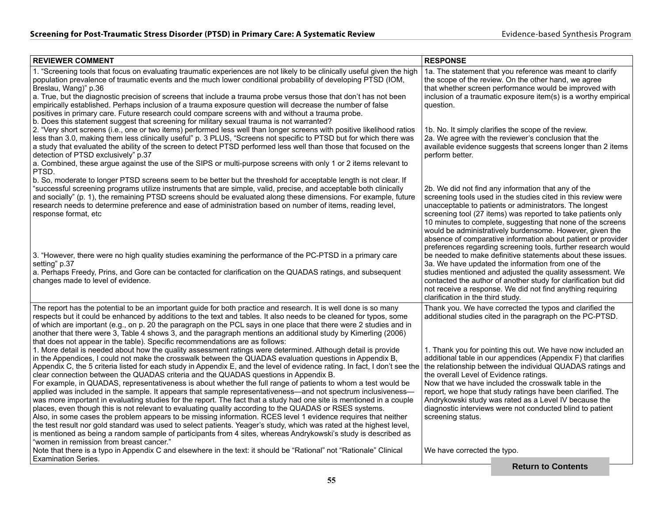| <b>REVIEWER COMMENT</b>                                                                                                                                                                                                                                                                                                                                                                                                                                                                                                                                                                                                                                                                                                                                                                                                                                                                                                                                                                                                                                                                                                                                                                                                                                                                                                        | <b>RESPONSE</b>                                             |                                                                                                                                                                                                                                                                                                                                                                                                                                                                                                                                                                                                                                                                                                                                                                                                                                 |  |
|--------------------------------------------------------------------------------------------------------------------------------------------------------------------------------------------------------------------------------------------------------------------------------------------------------------------------------------------------------------------------------------------------------------------------------------------------------------------------------------------------------------------------------------------------------------------------------------------------------------------------------------------------------------------------------------------------------------------------------------------------------------------------------------------------------------------------------------------------------------------------------------------------------------------------------------------------------------------------------------------------------------------------------------------------------------------------------------------------------------------------------------------------------------------------------------------------------------------------------------------------------------------------------------------------------------------------------|-------------------------------------------------------------|---------------------------------------------------------------------------------------------------------------------------------------------------------------------------------------------------------------------------------------------------------------------------------------------------------------------------------------------------------------------------------------------------------------------------------------------------------------------------------------------------------------------------------------------------------------------------------------------------------------------------------------------------------------------------------------------------------------------------------------------------------------------------------------------------------------------------------|--|
| 1. "Screening tools that focus on evaluating traumatic experiences are not likely to be clinically useful given the high<br>population prevalence of traumatic events and the much lower conditional probability of developing PTSD (IOM,<br>Breslau, Wang)" p.36                                                                                                                                                                                                                                                                                                                                                                                                                                                                                                                                                                                                                                                                                                                                                                                                                                                                                                                                                                                                                                                              |                                                             | 1a. The statement that you reference was meant to clarify<br>the scope of the review. On the other hand, we agree<br>that whether screen performance would be improved with                                                                                                                                                                                                                                                                                                                                                                                                                                                                                                                                                                                                                                                     |  |
| a. True, but the diagnostic precision of screens that include a trauma probe versus those that don't has not been<br>empirically established. Perhaps inclusion of a trauma exposure question will decrease the number of false<br>positives in primary care. Future research could compare screens with and without a trauma probe.                                                                                                                                                                                                                                                                                                                                                                                                                                                                                                                                                                                                                                                                                                                                                                                                                                                                                                                                                                                           | question.                                                   | inclusion of a traumatic exposure item(s) is a worthy empirical                                                                                                                                                                                                                                                                                                                                                                                                                                                                                                                                                                                                                                                                                                                                                                 |  |
| b. Does this statement suggest that screening for military sexual trauma is not warranted?<br>2. "Very short screens (i.e., one or two items) performed less well than longer screens with positive likelihood ratios<br>less than 3.0, making them less clinically useful" p. 3 PLUS, "Screens not specific to PTSD but for which there was<br>a study that evaluated the ability of the screen to detect PTSD performed less well than those that focused on the<br>detection of PTSD exclusively" p.37<br>a. Combined, these argue against the use of the SIPS or multi-purpose screens with only 1 or 2 items relevant to                                                                                                                                                                                                                                                                                                                                                                                                                                                                                                                                                                                                                                                                                                  | perform better.                                             | 1b. No. It simply clarifies the scope of the review.<br>2a. We agree with the reviewer's conclusion that the<br>available evidence suggests that screens longer than 2 items                                                                                                                                                                                                                                                                                                                                                                                                                                                                                                                                                                                                                                                    |  |
| PTSD.<br>b. So, moderate to longer PTSD screens seem to be better but the threshold for acceptable length is not clear. If<br>"successful screening programs utilize instruments that are simple, valid, precise, and acceptable both clinically<br>and socially" (p. 1), the remaining PTSD screens should be evaluated along these dimensions. For example, future<br>research needs to determine preference and ease of administration based on number of items, reading level,<br>response format, etc<br>3. "However, there were no high quality studies examining the performance of the PC-PTSD in a primary care<br>setting" p.37<br>a. Perhaps Freedy, Prins, and Gore can be contacted for clarification on the QUADAS ratings, and subsequent<br>changes made to level of evidence.                                                                                                                                                                                                                                                                                                                                                                                                                                                                                                                                 | clarification in the third study.                           | 2b. We did not find any information that any of the<br>screening tools used in the studies cited in this review were<br>unacceptable to patients or administrators. The longest<br>screening tool (27 items) was reported to take patients only<br>10 minutes to complete, suggesting that none of the screens<br>would be administratively burdensome. However, given the<br>absence of comparative information about patient or provider<br>preferences regarding screening tools, further research would<br>be needed to make definitive statements about these issues.<br>3a. We have updated the information from one of the<br>studies mentioned and adjusted the quality assessment. We<br>contacted the author of another study for clarification but did<br>not receive a response. We did not find anything requiring |  |
| The report has the potential to be an important guide for both practice and research. It is well done is so many<br>respects but it could be enhanced by additions to the text and tables. It also needs to be cleaned for typos, some<br>of which are important (e.g., on p. 20 the paragraph on the PCL says in one place that there were 2 studies and in<br>another that there were 3, Table 4 shows 3, and the paragraph mentions an additional study by Kimerling (2006)<br>that does not appear in the table). Specific recommendations are as follows:                                                                                                                                                                                                                                                                                                                                                                                                                                                                                                                                                                                                                                                                                                                                                                 |                                                             | Thank you. We have corrected the typos and clarified the<br>additional studies cited in the paragraph on the PC-PTSD.                                                                                                                                                                                                                                                                                                                                                                                                                                                                                                                                                                                                                                                                                                           |  |
| 1. More detail is needed about how the quality assessment ratings were determined. Although detail is provide<br>in the Appendices, I could not make the crosswalk between the QUADAS evaluation questions in Appendix B,<br>Appendix C, the 5 criteria listed for each study in Appendix E, and the level of evidence rating. In fact, I don't see the<br>clear connection between the QUADAS criteria and the QUADAS questions in Appendix B.<br>For example, in QUADAS, representativeness is about whether the full range of patients to whom a test would be<br>applied was included in the sample. It appears that sample representativeness—and not spectrum inclusiveness—<br>was more important in evaluating studies for the report. The fact that a study had one site is mentioned in a couple<br>places, even though this is not relevant to evaluating quality according to the QUADAS or RSES systems.<br>Also, in some cases the problem appears to be missing information. RCES level 1 evidence requires that neither<br>the test result nor gold standard was used to select patients. Yeager's study, which was rated at the highest level,<br>is mentioned as being a random sample of participants from 4 sites, whereas Andrykowski's study is described as<br>"women in remission from breast cancer." | the overall Level of Evidence ratings.<br>screening status. | 1. Thank you for pointing this out. We have now included an<br>additional table in our appendices (Appendix F) that clarifies<br>the relationship between the individual QUADAS ratings and<br>Now that we have included the crosswalk table in the<br>report, we hope that study ratings have been clarified. The<br>Andrykowski study was rated as a Level IV because the<br>diagnostic interviews were not conducted blind to patient                                                                                                                                                                                                                                                                                                                                                                                        |  |
| Note that there is a typo in Appendix C and elsewhere in the text: it should be "Rational" not "Rationale" Clinical<br><b>Examination Series.</b>                                                                                                                                                                                                                                                                                                                                                                                                                                                                                                                                                                                                                                                                                                                                                                                                                                                                                                                                                                                                                                                                                                                                                                              | We have corrected the typo.                                 |                                                                                                                                                                                                                                                                                                                                                                                                                                                                                                                                                                                                                                                                                                                                                                                                                                 |  |
|                                                                                                                                                                                                                                                                                                                                                                                                                                                                                                                                                                                                                                                                                                                                                                                                                                                                                                                                                                                                                                                                                                                                                                                                                                                                                                                                |                                                             | <b>Return to Contents</b>                                                                                                                                                                                                                                                                                                                                                                                                                                                                                                                                                                                                                                                                                                                                                                                                       |  |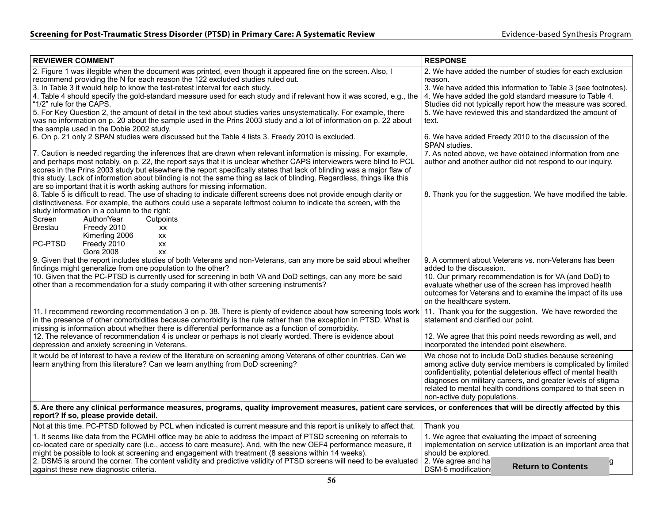| <b>REVIEWER COMMENT</b>                                                                                                                                                                                                                                                                                                                                                                                                                                                                                                                                                                                                                                                                                                 | <b>RESPONSE</b>                                                                                                                                                                                                                                                                                                                                       |
|-------------------------------------------------------------------------------------------------------------------------------------------------------------------------------------------------------------------------------------------------------------------------------------------------------------------------------------------------------------------------------------------------------------------------------------------------------------------------------------------------------------------------------------------------------------------------------------------------------------------------------------------------------------------------------------------------------------------------|-------------------------------------------------------------------------------------------------------------------------------------------------------------------------------------------------------------------------------------------------------------------------------------------------------------------------------------------------------|
| 2. Figure 1 was illegible when the document was printed, even though it appeared fine on the screen. Also, I<br>recommend providing the N for each reason the 122 excluded studies ruled out.<br>3. In Table 3 it would help to know the test-retest interval for each study.<br>4. Table 4 should specify the gold-standard measure used for each study and if relevant how it was scored, e.g., the<br>"1/2" rule for the CAPS.<br>5. For Key Question 2, the amount of detail in the text about studies varies unsystematically. For example, there<br>was no information on p. 20 about the sample used in the Prins 2003 study and a lot of information on p. 22 about<br>the sample used in the Dobie 2002 study. | 2. We have added the number of studies for each exclusion<br>reason.<br>3. We have added this information to Table 3 (see footnotes).<br>4. We have added the gold standard measure to Table 4.<br>Studies did not typically report how the measure was scored.<br>5. We have reviewed this and standardized the amount of<br>text.                   |
| 6. On p. 21 only 2 SPAN studies were discussed but the Table 4 lists 3. Freedy 2010 is excluded.                                                                                                                                                                                                                                                                                                                                                                                                                                                                                                                                                                                                                        | 6. We have added Freedy 2010 to the discussion of the<br>SPAN studies.                                                                                                                                                                                                                                                                                |
| 7. Caution is needed regarding the inferences that are drawn when relevant information is missing. For example,<br>and perhaps most notably, on p. 22, the report says that it is unclear whether CAPS interviewers were blind to PCL<br>scores in the Prins 2003 study but elsewhere the report specifically states that lack of blinding was a major flaw of<br>this study. Lack of information about blinding is not the same thing as lack of blinding. Regardless, things like this<br>are so important that it is worth asking authors for missing information.                                                                                                                                                   | 7. As noted above, we have obtained information from one<br>author and another author did not respond to our inquiry.                                                                                                                                                                                                                                 |
| 8. Table 5 is difficult to read. The use of shading to indicate different screens does not provide enough clarity or<br>distinctiveness. For example, the authors could use a separate leftmost column to indicate the screen, with the<br>study information in a column to the right:<br>Screen<br>Author/Year<br>Cutpoints<br><b>Breslau</b><br>Freedy 2010<br>XX<br>Kimerling 2006<br>XX<br>PC-PTSD<br>Freedy 2010<br>XX<br>Gore 2008<br>XX                                                                                                                                                                                                                                                                          | 8. Thank you for the suggestion. We have modified the table.                                                                                                                                                                                                                                                                                          |
| 9. Given that the report includes studies of both Veterans and non-Veterans, can any more be said about whether<br>findings might generalize from one population to the other?<br>10. Given that the PC-PTSD is currently used for screening in both VA and DoD settings, can any more be said<br>other than a recommendation for a study comparing it with other screening instruments?                                                                                                                                                                                                                                                                                                                                | 9. A comment about Veterans vs. non-Veterans has been<br>added to the discussion.<br>10. Our primary recommendation is for VA (and DoD) to<br>evaluate whether use of the screen has improved health<br>outcomes for Veterans and to examine the impact of its use<br>on the healthcare system.                                                       |
| 11. I recommend rewording recommendation 3 on p. 38. There is plenty of evidence about how screening tools work 11. Thank you for the suggestion. We have reworded the<br>in the presence of other comorbidities because comorbidity is the rule rather than the exception in PTSD. What is<br>missing is information about whether there is differential performance as a function of comorbidity.<br>12. The relevance of recommendation 4 is unclear or perhaps is not clearly worded. There is evidence about<br>depression and anxiety screening in Veterans.                                                                                                                                                      | statement and clarified our point.<br>12. We agree that this point needs rewording as well, and<br>incorporated the intended point elsewhere.                                                                                                                                                                                                         |
| It would be of interest to have a review of the literature on screening among Veterans of other countries. Can we<br>learn anything from this literature? Can we learn anything from DoD screening?                                                                                                                                                                                                                                                                                                                                                                                                                                                                                                                     | We chose not to include DoD studies because screening<br>among active duty service members is complicated by limited<br>confidentiality, potential deleterious effect of mental health<br>diagnoses on military careers, and greater levels of stigma<br>related to mental health conditions compared to that seen in<br>non-active duty populations. |
| 5. Are there any clinical performance measures, programs, quality improvement measures, patient care services, or conferences that will be directly affected by this<br>report? If so, please provide detail.                                                                                                                                                                                                                                                                                                                                                                                                                                                                                                           |                                                                                                                                                                                                                                                                                                                                                       |
| Not at this time. PC-PTSD followed by PCL when indicated is current measure and this report is unlikely to affect that.                                                                                                                                                                                                                                                                                                                                                                                                                                                                                                                                                                                                 | Thank you                                                                                                                                                                                                                                                                                                                                             |
| 1. It seems like data from the PCMHI office may be able to address the impact of PTSD screening on referrals to<br>co-located care or specialty care (i.e., access to care measure). And, with the new OEF4 performance measure, it<br>might be possible to look at screening and engagement with treatment (8 sessions within 14 weeks).                                                                                                                                                                                                                                                                                                                                                                               | 1. We agree that evaluating the impact of screening<br>implementation on service utilization is an important area that<br>should be explored.                                                                                                                                                                                                         |
| 2. DSM5 is around the corner. The content validity and predictive validity of PTSD screens will need to be evaluated   2. We agree and ha<br>against these new diagnostic criteria.                                                                                                                                                                                                                                                                                                                                                                                                                                                                                                                                     | g<br><b>Return to Contents</b><br>DSM-5 modification                                                                                                                                                                                                                                                                                                  |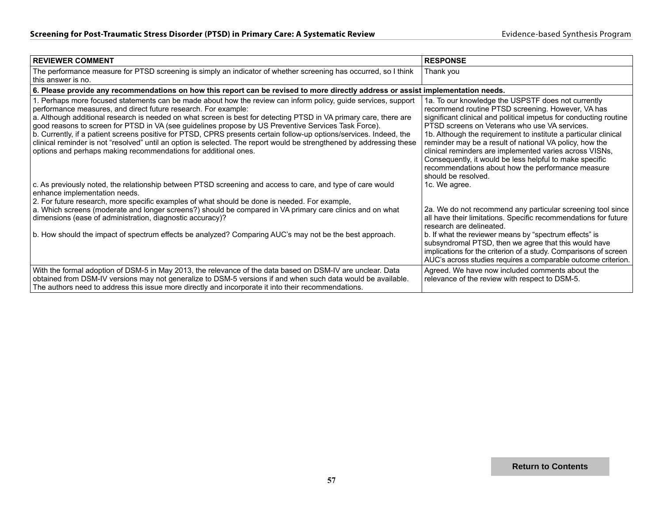| <b>REVIEWER COMMENT</b>                                                                                                                                                                                                                                                                                                                                                                                                                                                                                                                                                                                                                                                                                                          | <b>RESPONSE</b>                                                                                                                                                                                                                                                                                                                                                                                                                                                                                                                                               |
|----------------------------------------------------------------------------------------------------------------------------------------------------------------------------------------------------------------------------------------------------------------------------------------------------------------------------------------------------------------------------------------------------------------------------------------------------------------------------------------------------------------------------------------------------------------------------------------------------------------------------------------------------------------------------------------------------------------------------------|---------------------------------------------------------------------------------------------------------------------------------------------------------------------------------------------------------------------------------------------------------------------------------------------------------------------------------------------------------------------------------------------------------------------------------------------------------------------------------------------------------------------------------------------------------------|
| The performance measure for PTSD screening is simply an indicator of whether screening has occurred, so I think<br>this answer is no.                                                                                                                                                                                                                                                                                                                                                                                                                                                                                                                                                                                            | Thank you                                                                                                                                                                                                                                                                                                                                                                                                                                                                                                                                                     |
| 6. Please provide any recommendations on how this report can be revised to more directly address or assist implementation needs.                                                                                                                                                                                                                                                                                                                                                                                                                                                                                                                                                                                                 |                                                                                                                                                                                                                                                                                                                                                                                                                                                                                                                                                               |
| 1. Perhaps more focused statements can be made about how the review can inform policy, guide services, support<br>performance measures, and direct future research. For example:<br>a. Although additional research is needed on what screen is best for detecting PTSD in VA primary care, there are<br>good reasons to screen for PTSD in VA (see guidelines propose by US Preventive Services Task Force).<br>b. Currently, if a patient screens positive for PTSD, CPRS presents certain follow-up options/services. Indeed, the<br>clinical reminder is not "resolved" until an option is selected. The report would be strengthened by addressing these<br>options and perhaps making recommendations for additional ones. | 1a. To our knowledge the USPSTF does not currently<br>recommend routine PTSD screening. However, VA has<br>significant clinical and political impetus for conducting routine<br>PTSD screens on Veterans who use VA services.<br>1b. Although the requirement to institute a particular clinical<br>reminder may be a result of national VA policy, how the<br>clinical reminders are implemented varies across VISNs,<br>Consequently, it would be less helpful to make specific<br>recommendations about how the performance measure<br>should be resolved. |
| c. As previously noted, the relationship between PTSD screening and access to care, and type of care would<br>enhance implementation needs.<br>2. For future research, more specific examples of what should be done is needed. For example,                                                                                                                                                                                                                                                                                                                                                                                                                                                                                     | 1c. We agree.                                                                                                                                                                                                                                                                                                                                                                                                                                                                                                                                                 |
| a. Which screens (moderate and longer screens?) should be compared in VA primary care clinics and on what<br>dimensions (ease of administration, diagnostic accuracy)?                                                                                                                                                                                                                                                                                                                                                                                                                                                                                                                                                           | 2a. We do not recommend any particular screening tool since<br>all have their limitations. Specific recommendations for future<br>research are delineated.                                                                                                                                                                                                                                                                                                                                                                                                    |
| b. How should the impact of spectrum effects be analyzed? Comparing AUC's may not be the best approach.                                                                                                                                                                                                                                                                                                                                                                                                                                                                                                                                                                                                                          | b. If what the reviewer means by "spectrum effects" is<br>subsyndromal PTSD, then we agree that this would have<br>implications for the criterion of a study. Comparisons of screen<br>AUC's across studies requires a comparable outcome criterion.                                                                                                                                                                                                                                                                                                          |
| With the formal adoption of DSM-5 in May 2013, the relevance of the data based on DSM-IV are unclear. Data<br>obtained from DSM-IV versions may not generalize to DSM-5 versions if and when such data would be available.<br>The authors need to address this issue more directly and incorporate it into their recommendations.                                                                                                                                                                                                                                                                                                                                                                                                | Agreed. We have now included comments about the<br>relevance of the review with respect to DSM-5.                                                                                                                                                                                                                                                                                                                                                                                                                                                             |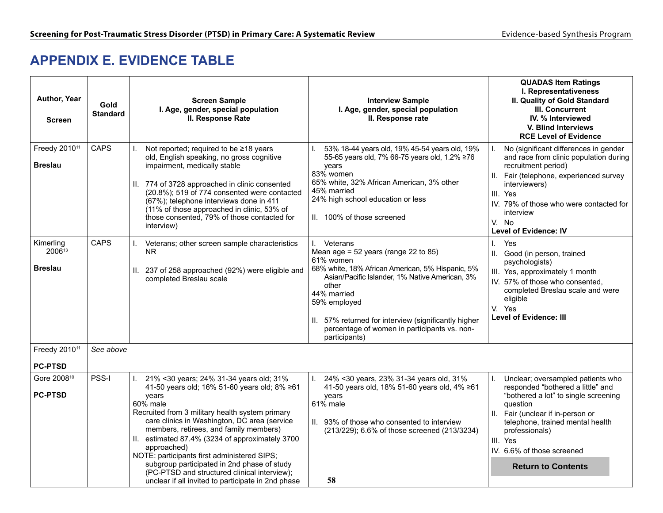### **APPENDIX E. EVIDENCE TABLE**

| Author, Year<br><b>Screen</b>               | Gold<br><b>Standard</b> | <b>Screen Sample</b><br>I. Age, gender, special population<br>II. Response Rate                                                                                                                                                                                                                                                                                                                                                                                                                                                     | <b>Interview Sample</b><br>I. Age, gender, special population<br>II. Response rate                                                                                                                                                                                                                                                          | <b>QUADAS Item Ratings</b><br>I. Representativeness<br>II. Quality of Gold Standard<br>III. Concurrent<br>IV. % Interviewed<br>V. Blind Interviews<br><b>RCE Level of Evidence</b>                                                                                                           |
|---------------------------------------------|-------------------------|-------------------------------------------------------------------------------------------------------------------------------------------------------------------------------------------------------------------------------------------------------------------------------------------------------------------------------------------------------------------------------------------------------------------------------------------------------------------------------------------------------------------------------------|---------------------------------------------------------------------------------------------------------------------------------------------------------------------------------------------------------------------------------------------------------------------------------------------------------------------------------------------|----------------------------------------------------------------------------------------------------------------------------------------------------------------------------------------------------------------------------------------------------------------------------------------------|
| Freedy 2010 <sup>11</sup><br><b>Breslau</b> | <b>CAPS</b>             | Not reported; required to be ≥18 years<br>old, English speaking, no gross cognitive<br>impairment, medically stable<br>II. 774 of 3728 approached in clinic consented<br>(20.8%); 519 of 774 consented were contacted<br>(67%); telephone interviews done in 411<br>(11% of those approached in clinic, 53% of<br>those consented, 79% of those contacted for<br>interview)                                                                                                                                                         | 53% 18-44 years old, 19% 45-54 years old, 19%<br>55-65 years old, 7% 66-75 years old, 1.2% ≥76<br>years<br>83% women<br>65% white, 32% African American, 3% other<br>45% married<br>24% high school education or less<br>II. 100% of those screened                                                                                         | No (significant differences in gender<br>and race from clinic population during<br>recruitment period)<br>II. Fair (telephone, experienced survey<br>interviewers)<br>III. Yes<br>IV. 79% of those who were contacted for<br>interview<br>V. No<br><b>Level of Evidence: IV</b>              |
| Kimerling<br>200613<br><b>Breslau</b>       | <b>CAPS</b>             | Veterans; other screen sample characteristics<br>L.<br>NR.<br>II. 237 of 258 approached (92%) were eligible and<br>completed Breslau scale                                                                                                                                                                                                                                                                                                                                                                                          | I. Veterans<br>Mean age = $52$ years (range 22 to 85)<br>61% women<br>68% white, 18% African American, 5% Hispanic, 5%<br>Asian/Pacific Islander, 1% Native American, 3%<br>other<br>44% married<br>59% employed<br>57% returned for interview (significantly higher<br>Ш.<br>percentage of women in participants vs. non-<br>participants) | Yes<br>I.<br>II. Good (in person, trained<br>psychologists)<br>III. Yes, approximately 1 month<br>IV. 57% of those who consented.<br>completed Breslau scale and were<br>eligible<br>V. Yes<br><b>Level of Evidence: III</b>                                                                 |
| Freedy 2010 <sup>11</sup><br><b>PC-PTSD</b> | See above               |                                                                                                                                                                                                                                                                                                                                                                                                                                                                                                                                     |                                                                                                                                                                                                                                                                                                                                             |                                                                                                                                                                                                                                                                                              |
| Gore 2008 <sup>10</sup><br><b>PC-PTSD</b>   | PSS-I                   | I. 21% < 30 years; 24% 31-34 years old; 31%<br>41-50 years old; 16% 51-60 years old; 8% ≥61<br>vears<br>60% male<br>Recruited from 3 military health system primary<br>care clinics in Washington, DC area (service<br>members, retirees, and family members)<br>II. estimated 87.4% (3234 of approximately 3700<br>approached)<br>NOTE: participants first administered SIPS;<br>subgroup participated in 2nd phase of study<br>(PC-PTSD and structured clinical interview);<br>unclear if all invited to participate in 2nd phase | 24% < 30 years, 23% 31-34 years old, 31%<br>$\mathbf{L}$<br>41-50 years old, 18% 51-60 years old, 4% ≥61<br>vears<br>$61\%$ male<br>II. 93% of those who consented to interview<br>(213/229); 6.6% of those screened (213/3234)<br>58                                                                                                       | Unclear; oversampled patients who<br>responded "bothered a little" and<br>"bothered a lot" to single screening<br>question<br>II. Fair (unclear if in-person or<br>telephone, trained mental health<br>professionals)<br>III. Yes<br>IV. 6.6% of those screened<br><b>Return to Contents</b> |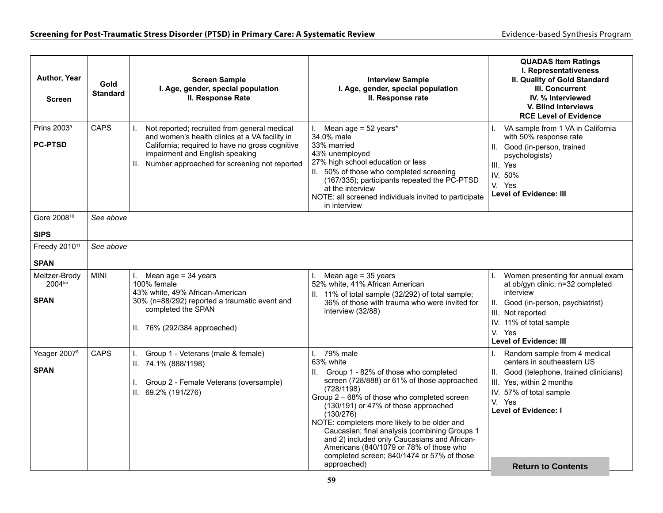| Author, Year<br><b>Screen</b>             | Gold<br><b>Standard</b> | <b>Screen Sample</b><br>I. Age, gender, special population<br>II. Response Rate                                                                                                                                                                | <b>Interview Sample</b><br>I. Age, gender, special population<br>II. Response rate                                                                                                                                                                                                                                                                                                                                                                                                                | <b>QUADAS Item Ratings</b><br>I. Representativeness<br>II. Quality of Gold Standard<br>III. Concurrent<br>IV. % Interviewed<br>V. Blind Interviews<br><b>RCE Level of Evidence</b>                                                   |
|-------------------------------------------|-------------------------|------------------------------------------------------------------------------------------------------------------------------------------------------------------------------------------------------------------------------------------------|---------------------------------------------------------------------------------------------------------------------------------------------------------------------------------------------------------------------------------------------------------------------------------------------------------------------------------------------------------------------------------------------------------------------------------------------------------------------------------------------------|--------------------------------------------------------------------------------------------------------------------------------------------------------------------------------------------------------------------------------------|
| Prins 2003 <sup>9</sup><br><b>PC-PTSD</b> | <b>CAPS</b>             | Not reported; recruited from general medical<br>L.<br>and women's health clinics at a VA facility in<br>California; required to have no gross cognitive<br>impairment and English speaking<br>II. Number approached for screening not reported | Mean age = $52$ years*<br>L.<br>34.0% male<br>33% married<br>43% unemployed<br>27% high school education or less<br>II. 50% of those who completed screening<br>(167/335); participants repeated the PC-PTSD<br>at the interview<br>NOTE: all screened individuals invited to participate<br>in interview                                                                                                                                                                                         | VA sample from 1 VA in California<br>with 50% response rate<br>II. Good (in-person, trained<br>psychologists)<br>III. Yes<br>IV. 50%<br>V. Yes<br><b>Level of Evidence: III</b>                                                      |
| Gore 2008 <sup>10</sup><br><b>SIPS</b>    | See above               |                                                                                                                                                                                                                                                |                                                                                                                                                                                                                                                                                                                                                                                                                                                                                                   |                                                                                                                                                                                                                                      |
| Freedy 2010 <sup>11</sup><br><b>SPAN</b>  | See above               |                                                                                                                                                                                                                                                |                                                                                                                                                                                                                                                                                                                                                                                                                                                                                                   |                                                                                                                                                                                                                                      |
| Meltzer-Brody<br>200455<br><b>SPAN</b>    | <b>MINI</b>             | I. Mean age = $34$ years<br>100% female<br>43% white, 49% African-American<br>30% (n=88/292) reported a traumatic event and<br>completed the SPAN<br>II. 76% (292/384 approached)                                                              | Mean age = 35 years<br>L.<br>52% white, 41% African American<br>II. 11% of total sample (32/292) of total sample;<br>36% of those with trauma who were invited for<br>interview (32/88)                                                                                                                                                                                                                                                                                                           | Women presenting for annual exam<br>at ob/gyn clinic; n=32 completed<br>interview<br>II. Good (in-person, psychiatrist)<br>III. Not reported<br>IV. 11% of total sample<br>V. Yes<br><b>Level of Evidence: III</b>                   |
| Yeager 2007 <sup>8</sup><br><b>SPAN</b>   | <b>CAPS</b>             | Group 1 - Veterans (male & female)<br>L.<br>II. 74.1% (888/1198)<br>Group 2 - Female Veterans (oversample)<br>I.<br>II. 69.2% (191/276)                                                                                                        | 79% male<br>L.<br>63% white<br>II. Group 1 - 82% of those who completed<br>screen (728/888) or 61% of those approached<br>(728/1198)<br>Group 2 – 68% of those who completed screen<br>(130/191) or 47% of those approached<br>(130/276)<br>NOTE: completers more likely to be older and<br>Caucasian; final analysis (combining Groups 1<br>and 2) included only Caucasians and African-<br>Americans (840/1079 or 78% of those who<br>completed screen; 840/1474 or 57% of those<br>approached) | Random sample from 4 medical<br>centers in southeastern US<br>II. Good (telephone, trained clinicians)<br>III. Yes, within 2 months<br>IV. 57% of total sample<br>V. Yes<br><b>Level of Evidence: I</b><br><b>Return to Contents</b> |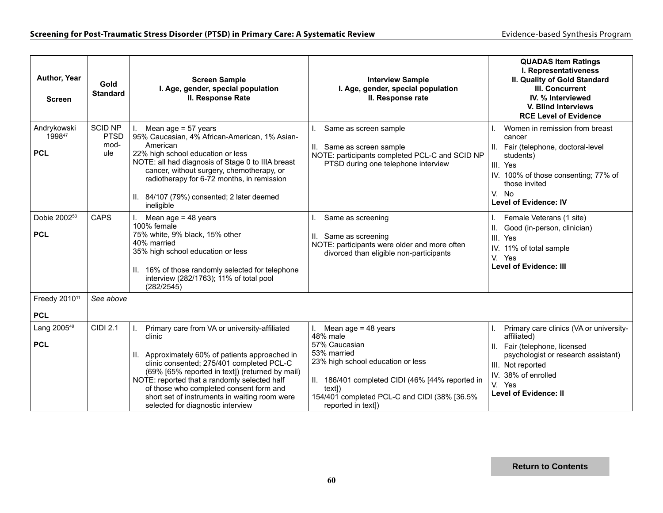| Author, Year<br><b>Screen</b>           | Gold<br><b>Standard</b>                      | <b>Screen Sample</b><br>I. Age, gender, special population<br>II. Response Rate                                                                                                                                                                                                                                                                                                             | <b>Interview Sample</b><br>I. Age, gender, special population<br>II. Response rate                                                                                                                                                               | <b>QUADAS Item Ratings</b><br>I. Representativeness<br>II. Quality of Gold Standard<br>III. Concurrent<br>IV. % Interviewed<br>V. Blind Interviews<br><b>RCE Level of Evidence</b>                                   |
|-----------------------------------------|----------------------------------------------|---------------------------------------------------------------------------------------------------------------------------------------------------------------------------------------------------------------------------------------------------------------------------------------------------------------------------------------------------------------------------------------------|--------------------------------------------------------------------------------------------------------------------------------------------------------------------------------------------------------------------------------------------------|----------------------------------------------------------------------------------------------------------------------------------------------------------------------------------------------------------------------|
| Andrykowski<br>199847<br><b>PCL</b>     | <b>SCID NP</b><br><b>PTSD</b><br>mod-<br>ule | Mean age = 57 years<br>95% Caucasian, 4% African-American, 1% Asian-<br>American<br>22% high school education or less<br>NOTE: all had diagnosis of Stage 0 to IIIA breast<br>cancer, without surgery, chemotherapy, or<br>radiotherapy for 6-72 months, in remission<br>II. 84/107 (79%) consented; 2 later deemed<br>ineligible                                                           | Same as screen sample<br>II. Same as screen sample<br>NOTE: participants completed PCL-C and SCID NP<br>PTSD during one telephone interview                                                                                                      | Women in remission from breast<br>cancer<br>Fair (telephone, doctoral-level<br>students)<br>III. Yes<br>IV. 100% of those consenting; 77% of<br>those invited<br>V. No<br><b>Level of Evidence: IV</b>               |
| Dobie 2002 <sup>53</sup><br><b>PCL</b>  | <b>CAPS</b>                                  | I. Mean age = $48$ years<br>100% female<br>75% white, 9% black, 15% other<br>40% married<br>35% high school education or less<br>II. 16% of those randomly selected for telephone<br>interview (282/1763); 11% of total pool<br>(282/2545)                                                                                                                                                  | Same as screening<br>II. Same as screening<br>NOTE: participants were older and more often<br>divorced than eligible non-participants                                                                                                            | Female Veterans (1 site)<br>Good (in-person, clinician)<br>III. Yes<br>IV. 11% of total sample<br>V. Yes<br><b>Level of Evidence: III</b>                                                                            |
| Freedy 2010 <sup>11</sup><br><b>PCL</b> | See above                                    |                                                                                                                                                                                                                                                                                                                                                                                             |                                                                                                                                                                                                                                                  |                                                                                                                                                                                                                      |
| Lang 2005 <sup>49</sup><br><b>PCL</b>   | <b>CIDI 2.1</b>                              | Primary care from VA or university-affiliated<br>clinic<br>II. Approximately 60% of patients approached in<br>clinic consented; 275/401 completed PCL-C<br>(69% [65% reported in text]) (returned by mail)<br>NOTE: reported that a randomly selected half<br>of those who completed consent form and<br>short set of instruments in waiting room were<br>selected for diagnostic interview | Mean age $= 48$ years<br>L.<br>48% male<br>57% Caucasian<br>53% married<br>23% high school education or less<br>II. 186/401 completed CIDI (46% [44% reported in<br>textl)<br>154/401 completed PCL-C and CIDI (38% [36.5%<br>reported in text]) | Primary care clinics (VA or university-<br>affiliated)<br>II. Fair (telephone, licensed<br>psychologist or research assistant)<br>III. Not reported<br>IV. 38% of enrolled<br>V. Yes<br><b>Level of Evidence: II</b> |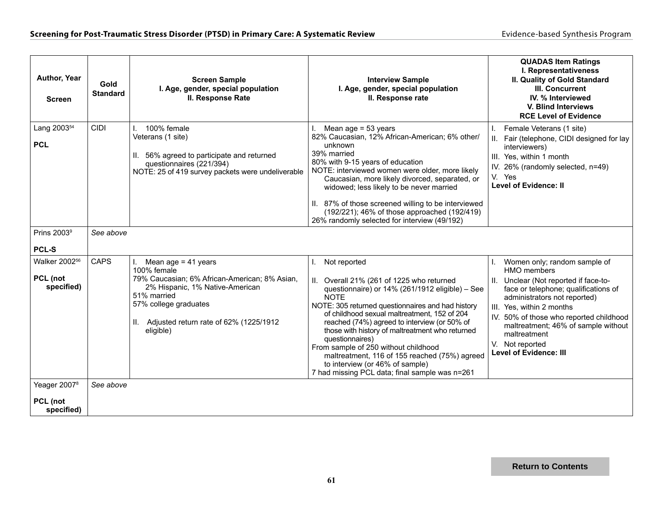| Author, Year<br><b>Screen</b>                       | Gold<br><b>Standard</b> | <b>Screen Sample</b><br>I. Age, gender, special population<br>II. Response Rate                                                                                                                                                     | <b>Interview Sample</b><br>I. Age, gender, special population<br>II. Response rate                                                                                                                                                                                                                                                                                                                                                                                                                                                     | <b>QUADAS Item Ratings</b><br>I. Representativeness<br>II. Quality of Gold Standard<br>III. Concurrent<br>IV. % Interviewed<br>V. Blind Interviews<br><b>RCE Level of Evidence</b>                                                                                                                                                          |  |  |  |
|-----------------------------------------------------|-------------------------|-------------------------------------------------------------------------------------------------------------------------------------------------------------------------------------------------------------------------------------|----------------------------------------------------------------------------------------------------------------------------------------------------------------------------------------------------------------------------------------------------------------------------------------------------------------------------------------------------------------------------------------------------------------------------------------------------------------------------------------------------------------------------------------|---------------------------------------------------------------------------------------------------------------------------------------------------------------------------------------------------------------------------------------------------------------------------------------------------------------------------------------------|--|--|--|
| Lang 2003 <sup>54</sup><br><b>PCL</b>               | <b>CIDI</b>             | 100% female<br>Veterans (1 site)<br>II. 56% agreed to participate and returned<br>questionnaires (221/394)<br>NOTE: 25 of 419 survey packets were undeliverable                                                                     | Mean age $= 53$ years<br>82% Caucasian, 12% African-American; 6% other/<br>unknown<br>39% married<br>80% with 9-15 years of education<br>NOTE: interviewed women were older, more likely<br>Caucasian, more likely divorced, separated, or<br>widowed; less likely to be never married<br>II. 87% of those screened willing to be interviewed<br>(192/221); 46% of those approached (192/419)<br>26% randomly selected for interview (49/192)                                                                                          | Female Veterans (1 site)<br>II. Fair (telephone, CIDI designed for lay<br>interviewers)<br>III. Yes, within 1 month<br>IV. 26% (randomly selected, n=49)<br>V. Yes<br><b>Level of Evidence: II</b>                                                                                                                                          |  |  |  |
| Prins 2003 <sup>9</sup><br><b>PCL-S</b>             | See above               |                                                                                                                                                                                                                                     |                                                                                                                                                                                                                                                                                                                                                                                                                                                                                                                                        |                                                                                                                                                                                                                                                                                                                                             |  |  |  |
| Walker 2002 <sup>56</sup><br>PCL (not<br>specified) | <b>CAPS</b>             | Mean age = $41$ years<br>L.<br>100% female<br>79% Caucasian; 6% African-American; 8% Asian,<br>2% Hispanic, 1% Native-American<br>51% married<br>57% college graduates<br>Adjusted return rate of 62% (1225/1912<br>Н.<br>eligible) | Not reported<br>L.<br>Overall 21% (261 of 1225 who returned<br>questionnaire) or 14% (261/1912 eligible) - See<br><b>NOTE</b><br>NOTE: 305 returned questionnaires and had history<br>of childhood sexual maltreatment, 152 of 204<br>reached (74%) agreed to interview (or 50% of<br>those with history of maltreatment who returned<br>questionnaires)<br>From sample of 250 without childhood<br>maltreatment, 116 of 155 reached (75%) agreed<br>to interview (or 46% of sample)<br>7 had missing PCL data; final sample was n=261 | Women only; random sample of<br>HMO members<br>Unclear (Not reported if face-to-<br>face or telephone; qualifications of<br>administrators not reported)<br>III. Yes, within 2 months<br>IV. 50% of those who reported childhood<br>maltreatment; 46% of sample without<br>maltreatment<br>V. Not reported<br><b>Level of Evidence: III</b> |  |  |  |
| Yeager 2007 <sup>8</sup><br>PCL (not<br>specified)  | See above               |                                                                                                                                                                                                                                     |                                                                                                                                                                                                                                                                                                                                                                                                                                                                                                                                        |                                                                                                                                                                                                                                                                                                                                             |  |  |  |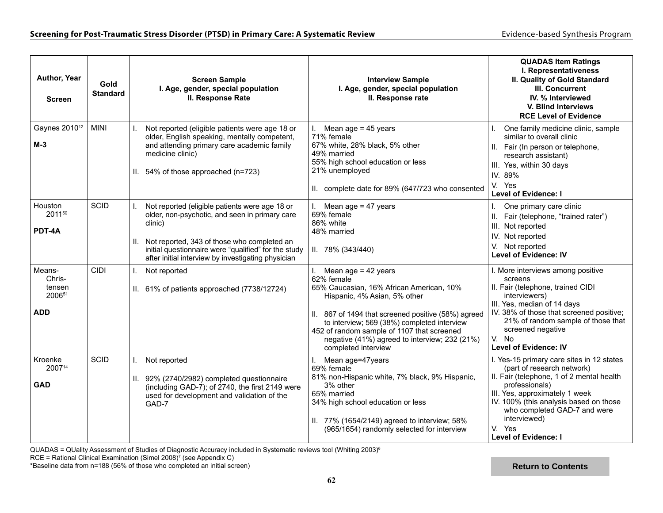| Author, Year<br><b>Screen</b>                      | Gold<br><b>Standard</b> | <b>Screen Sample</b><br>I. Age, gender, special population<br>II. Response Rate                                                                                                                                                                                                      | <b>Interview Sample</b><br>I. Age, gender, special population<br>II. Response rate                                                                                                                                                                                                                                                                | <b>QUADAS Item Ratings</b><br>I. Representativeness<br>II. Quality of Gold Standard<br>III. Concurrent<br>IV. % Interviewed<br>V. Blind Interviews<br><b>RCE Level of Evidence</b>                                                                                                                          |
|----------------------------------------------------|-------------------------|--------------------------------------------------------------------------------------------------------------------------------------------------------------------------------------------------------------------------------------------------------------------------------------|---------------------------------------------------------------------------------------------------------------------------------------------------------------------------------------------------------------------------------------------------------------------------------------------------------------------------------------------------|-------------------------------------------------------------------------------------------------------------------------------------------------------------------------------------------------------------------------------------------------------------------------------------------------------------|
| Gaynes 2010 <sup>12</sup><br>$M-3$                 | <b>MINI</b>             | Not reported (eligible patients were age 18 or<br>L.<br>older, English speaking, mentally competent,<br>and attending primary care academic family<br>medicine clinic)<br>II. 54% of those approached (n=723)                                                                        | Mean age $= 45$ years<br>71% female<br>67% white, 28% black, 5% other<br>49% married<br>55% high school education or less<br>21% unemployed<br>II. complete date for 89% (647/723 who consented                                                                                                                                                   | One family medicine clinic, sample<br>similar to overall clinic<br>II. Fair (In person or telephone,<br>research assistant)<br>III. Yes, within 30 days<br>IV. 89%<br>V. Yes<br><b>Level of Evidence: I</b>                                                                                                 |
| Houston<br>201150<br>PDT-4A                        | <b>SCID</b>             | Not reported (eligible patients were age 18 or<br>L.<br>older, non-psychotic, and seen in primary care<br>clinic)<br>Not reported, 343 of those who completed an<br>Ш.<br>initial questionnaire were "qualified" for the study<br>after initial interview by investigating physician | Mean age $= 47$ years<br>69% female<br>86% white<br>48% married<br>$II. 78\% (343/440)$                                                                                                                                                                                                                                                           | $\mathsf{L}$<br>One primary care clinic<br>II. Fair (telephone, "trained rater")<br>III. Not reported<br>IV. Not reported<br>V. Not reported<br><b>Level of Evidence: IV</b>                                                                                                                                |
| Means-<br>Chris-<br>tensen<br>200651<br><b>ADD</b> | <b>CIDI</b>             | $\mathbf{L}$<br>Not reported<br>II. 61% of patients approached (7738/12724)                                                                                                                                                                                                          | Mean age = $42$ years<br>L.<br>62% female<br>65% Caucasian, 16% African American, 10%<br>Hispanic, 4% Asian, 5% other<br>II. 867 of 1494 that screened positive (58%) agreed<br>to interview; 569 (38%) completed interview<br>452 of random sample of 1107 that screened<br>negative (41%) agreed to interview; 232 (21%)<br>completed interview | I. More interviews among positive<br>screens<br>II. Fair (telephone, trained CIDI<br>interviewers)<br>III. Yes, median of 14 days<br>IV. 38% of those that screened positive;<br>21% of random sample of those that<br>screened negative<br>V. No<br><b>Level of Evidence: IV</b>                           |
| Kroenke<br>200714<br><b>GAD</b>                    | <b>SCID</b>             | Not reported<br>$\mathbf{L}$<br>II. 92% (2740/2982) completed questionnaire<br>(including GAD-7); of 2740, the first 2149 were<br>used for development and validation of the<br>GAD-7                                                                                                | Mean age=47years<br>69% female<br>81% non-Hispanic white, 7% black, 9% Hispanic,<br>3% other<br>65% married<br>34% high school education or less<br>II. 77% (1654/2149) agreed to interview; 58%<br>(965/1654) randomly selected for interview                                                                                                    | I. Yes-15 primary care sites in 12 states<br>(part of research network)<br>II. Fair (telephone, 1 of 2 mental health<br>professionals)<br>III. Yes, approximately 1 week<br>IV. 100% (this analysis based on those<br>who completed GAD-7 and were<br>interviewed)<br>V. Yes<br><b>Level of Evidence: I</b> |

 $QUADAS = QU$ ality Assessment of Studies of Diagnostic Accuracy included in Systematic reviews tool (Whiting 2003)<sup>6</sup>

RCE = Rational Clinical Examination (Simel 2008)7 (see Appendix C)

\*Baseline data from n=188 (56% of those who completed an initial screen)